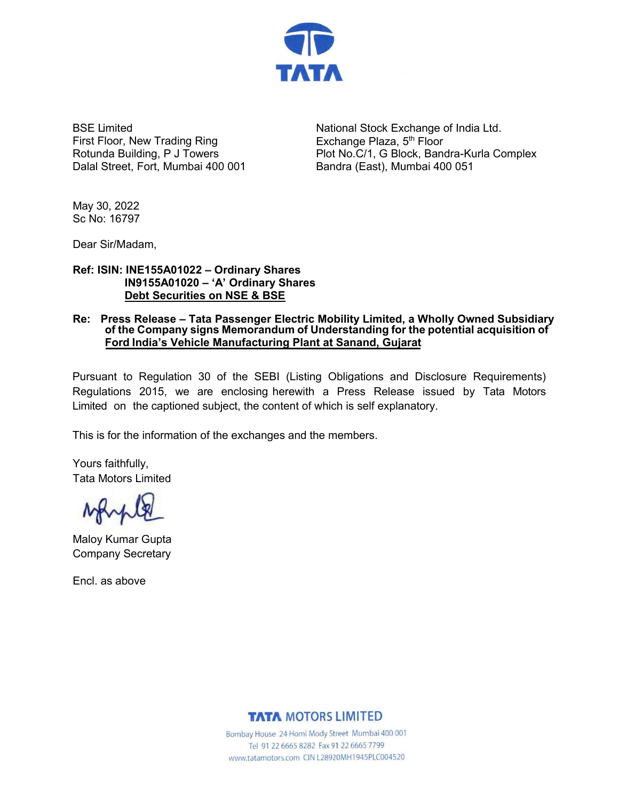

BSE Limited First Floor, New Trading Ring Rotunda Building, P J Towers Dalal Street, Fort, Mumbai 400 001

National Stock Exchange of India Ltd. Exchange Plaza,  $5<sup>th</sup>$  Floor Plot No.C/1, G Block, Bandra-Kurla Complex Bandra (East), Mumbai 400 051

May 30, 2022 Sc No: 16797

Dear Sir/Madam,

# **IN9155A01020 – 'A' Ordinary Shares Debt Securities on NSE & BSE Ref: ISIN: INE155A01022 – Ordinary Shares**

## **Re: Press Release – Tata Passenger Electric Mobility Limited, a Wholly Owned Subsidiary of the Company signs Memorandum of Understanding for the potential acquisition of Ford India's Vehicle Manufacturing Plant at Sanand, Gujarat**

Pursuant to Regulation 30 of the SEBI (Listing Obligations and Disclosure Requirements) Regulations 2015, we are enclosing herewith a Press Release issued by Tata Motors Limited on the captioned subject, the content of which is self explanatory.

This is for the information of the exchanges and the members.

Yours faithfully, Tata Motors Limited

Maloy Kumar Gupta Company Secretary

Encl. as above

**TATA MOTORS LIMITED** 

Bombay House 24 Homi Mody Street Mumbai 400 001 Tel 91 22 6665 8282 Fax 91 22 6665 7799 www.tatamotors.com CIN L28920MH1945PLC004520